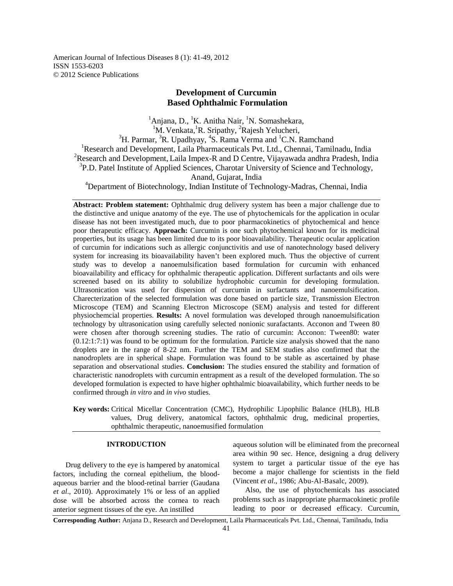American Journal of Infectious Diseases 8 (1): 41-49, 2012 ISSN 1553-6203 © 2012 Science Publications

# **Development of Curcumin Based Ophthalmic Formulation**

 ${}^{1}$ Anjana, D.,  ${}^{1}$ K. Anitha Nair,  ${}^{1}$ N. Somashekara,  ${}^{1}$ M. Venkata, <sup>1</sup>R. Sripathy, <sup>2</sup>Rajesh Yelucheri,  ${}^{3}$ H. Parmar,  ${}^{3}$ R. Upadhyay,  ${}^{4}$ S. Rama Verma and  ${}^{1}$ C.N. Ramchand <sup>1</sup>Research and Development, Laila Pharmaceuticals Pvt. Ltd., Chennai, Tamilnadu, India <sup>2</sup>Research and Development, Laila Impex-R and D Centre, Vijayawada andhra Pradesh, India <sup>3</sup>P.D. Patel Institute of Applied Sciences, Charotar University of Science and Technology, Anand, Gujarat, India <sup>4</sup>Department of Biotechnology, Indian Institute of Technology-Madras, Chennai, India

**Abstract: Problem statement:** Ophthalmic drug delivery system has been a major challenge due to the distinctive and unique anatomy of the eye. The use of phytochemicals for the application in ocular disease has not been investigated much, due to poor pharmacokinetics of phytochemical and hence poor therapeutic efficacy. **Approach:** Curcumin is one such phytochemical known for its medicinal properties, but its usage has been limited due to its poor bioavailability. Therapeutic ocular application of curcumin for indications such as allergic conjunctivitis and use of nanotechnology based delivery system for increasing its bioavailability haven't been explored much. Thus the objective of current study was to develop a nanoemulsification based formulation for curcumin with enhanced bioavailability and efficacy for ophthalmic therapeutic application. Different surfactants and oils were screened based on its ability to solubilize hydrophobic curcumin for developing formulation. Ultrasonication was used for dispersion of curcumin in surfactants and nanoemulsification. Charecterization of the selected formulation was done based on particle size, Transmission Electron Microscope (TEM) and Scanning Electron Microscope (SEM) analysis and tested for different physiochemcial properties. **Results:** A novel formulation was developed through nanoemulsification technology by ultrasonication using carefully selected nonionic surafactants. Acconon and Tween 80 were chosen after thorough screening studies. The ratio of curcumin: Acconon: Tween80: water (0.12:1:7:1) was found to be optimum for the formulation. Particle size analysis showed that the nano droplets are in the range of 8-22 nm. Further the TEM and SEM studies also confirmed that the nanodroplets are in spherical shape. Formulation was found to be stable as ascertained by phase separation and observational studies. **Conclusion:** The studies ensured the stability and formation of characteristic nanodroplets with curcumin entrapment as a result of the developed formulation. The so developed formulation is expected to have higher ophthalmic bioavailability, which further needs to be confirmed through *in vitro* and *in vivo* studies.

## **Key words:** Critical Micellar Concentration (CMC), Hydrophilic Lipophilic Balance (HLB), HLB values, Drug delivery, anatomical factors, ophthalmic drug, medicinal properties, ophthalmic therapeutic, nanoemusified formulation

## **INTRODUCTION**

 Drug delivery to the eye is hampered by anatomical factors, including the corneal epithelium, the bloodaqueous barrier and the blood-retinal barrier (Gaudana *et al*., 2010). Approximately 1% or less of an applied dose will be absorbed across the cornea to reach anterior segment tissues of the eye. An instilled

aqueous solution will be eliminated from the precorneal area within 90 sec. Hence, designing a drug delivery system to target a particular tissue of the eye has become a major challenge for scientists in the field (Vincent *et al*., 1986; Abu-Al-Basalc, 2009).

 Also, the use of phytochemicals has associated problems such as inappropriate pharmacokinetic profile leading to poor or decreased efficacy. Curcumin,

**Corresponding Author:** Anjana D., Research and Development, Laila Pharmaceuticals Pvt. Ltd., Chennai, Tamilnadu, India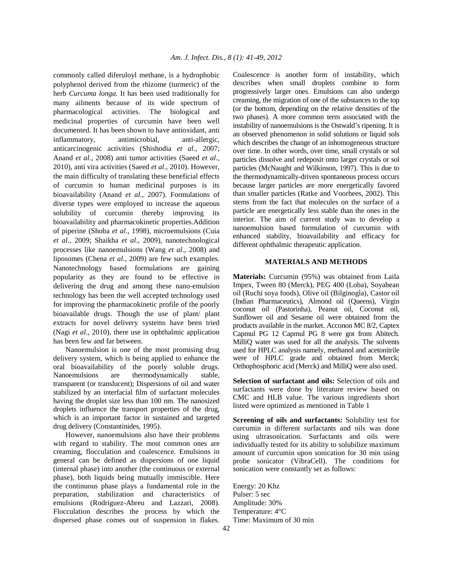commonly called diferuloyl methane, is a hydrophobic polyphenol derived from the rhizome (turmeric) of the herb *Curcuma longa*. It has been used traditionally for many ailments because of its wide spectrum of pharmacological activities. The biological and medicinal properties of curcumin have been well documented. It has been shown to have antioxidant, anti inflammatory, antimicrobial, anti-allergic, anticarcinogenic activities (Shishodia *et al*., 2007; Anand *et al*., 2008) anti tumor activities (Saeed *et al*., 2010), anti vira activities (Saeed *et al*., 2010). However, the main difficulty of translating these beneficial effects of curcumin to human medicinal purposes is its bioavailability (Anand *et al*., 2007). Formulations of diverse types were employed to increase the aqueous solubility of curcumin thereby improving its bioavailability and pharmacokinetic properties.Addition of piperine (Shoba *et al*., 1998), microemulsions (Cuia *et al*., 2009; Shaikha *et al*., 2009), nanotechnological processes like nanoemulsions (Wang *et al*., 2008) and liposomes (Chena *et al*., 2009) are few such examples. Nanotechnology based formulations are gaining popularity as they are found to be effective in delivering the drug and among these nano-emulsion technology has been the well accepted technology used for improving the pharmacokinetic profile of the poorly bioavailable drugs. Though the use of plant/ plant extracts for novel delivery systems have been tried (Nagi *et al*., 2010), there use in ophthalmic application has been few and far between.

 Nanoemulsion is one of the most promising drug delivery system, which is being applied to enhance the oral bioavailability of the poorly soluble drugs. Nanoemulsions are thermodynamically stable, transparent (or translucent); Dispersions of oil and water stabilized by an interfacial film of surfactant molecules having the droplet size less than 100 nm. The nanosized droplets influence the transport properties of the drug, which is an important factor in sustained and targeted drug delivery (Constantinides, 1995).

 However, nanoemulsions also have their problems with regard to stability. The most common ones are creaming, flocculation and coalescence. Emulsions in general can be defined as dispersions of one liquid (internal phase) into another (the continuous or external phase), both liquids being mutually immiscible. Here the continuous phase plays a fundamental role in the preparation, stabilization and characteristics of emulsions (Rodriguez-Abreu and Lazzari, 2008). Flocculation describes the process by which the dispersed phase comes out of suspension in flakes.

Coalescence is another form of instability, which describes when small droplets combine to form progressively larger ones. Emulsions can also undergo creaming, the migration of one of the substances to the top (or the bottom, depending on the relative densities of the two phases). A more common term associated with the instability of nanoemulsions is the Ostwald's ripening. It is an observed phenomenon in solid solutions or liquid sols which describes the change of an inhomogeneous structure over time. In other words, over time, small crystals or sol particles dissolve and redeposit onto larger crystals or sol particles (McNaught and Wilkinson, 1997). This is due to the thermodynamically-driven spontaneous process occurs because larger particles are more energetically favored than smaller particles (Ratke and Voorhees, 2002). This stems from the fact that molecules on the surface of a particle are energetically less stable than the ones in the interior. The aim of current study was to develop a nanoemulsion based formulation of curcumin with enhanced stability, bioavailability and efficacy for different ophthalmic therapeutic application.

## **MATERIALS AND METHODS**

**Materials:** Curcumin (95%) was obtained from Laila Impex, Tween 80 (Merck), PEG 400 (Loba), Soyabean oil (Ruchi soya foods), Olive oil (Bilginogla), Castor oil (Indian Pharmaceutics), Almond oil (Queens), Virgin coconut oil (Pastorinha), Peanut oil, Coconut oil, Sunflower oil and Sesame oil were obtained from the products available in the market. Acconon MC 8/2, Captex Capmul PG 12 Capmul PG 8 were got from Abitech. MilliQ water was used for all the analysis. The solvents used for HPLC analysis namely, methanol and acetonitrile were of HPLC grade and obtained from Merck; Orthophosphoric acid (Merck) and MilliQ were also used.

**Selection of surfactant and oils:** Selection of oils and surfactants were done by literature review based on CMC and HLB value. The various ingredients short listed were optimized as mentioned in Table 1

**Screening of oils and surfactants:** Solubility test for curcumin in different surfactants and oils was done using ultrasonication. Surfactants and oils were individually tested for its ability to solubilize maximum amount of curcumin upon sonication for 30 min using probe sonicator (VibraCell). The conditions for sonication were constantly set as follows:

Energy: 20 Khz Pulser: 5 sec Amplitude: 30% Temperature: 4°C Time: Maximum of 30 min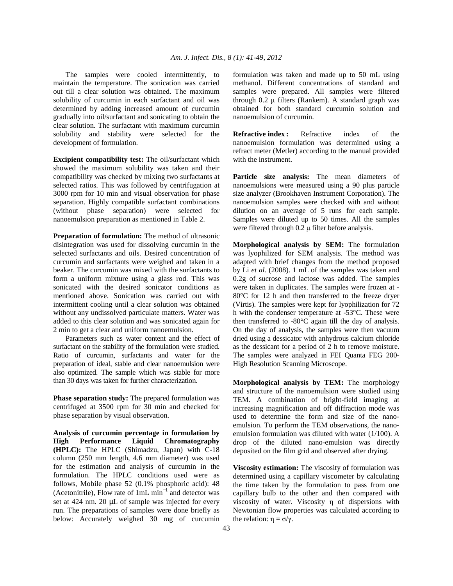The samples were cooled intermittently, to maintain the temperature. The sonication was carried out till a clear solution was obtained. The maximum solubility of curcumin in each surfactant and oil was determined by adding increased amount of curcumin gradually into oil/surfactant and sonicating to obtain the clear solution. The surfactant with maximum curcumin solubility and stability were selected for the development of formulation.

**Excipient compatibility test:** The oil/surfactant which showed the maximum solubility was taken and their compatibility was checked by mixing two surfactants at selected ratios. This was followed by centrifugation at 3000 rpm for 10 min and visual observation for phase separation. Highly compatible surfactant combinations (without phase separation) were selected for nanoemulsion preparation as mentioned in Table 2.

**Preparation of formulation:** The method of ultrasonic disintegration was used for dissolving curcumin in the selected surfactants and oils. Desired concentration of curcumin and surfactants were weighed and taken in a beaker. The curcumin was mixed with the surfactants to form a uniform mixture using a glass rod. This was sonicated with the desired sonicator conditions as mentioned above. Sonication was carried out with intermittent cooling until a clear solution was obtained without any undissolved particulate matters. Water was added to this clear solution and was sonicated again for 2 min to get a clear and uniform nanoemulsion.

 Parameters such as water content and the effect of surfactant on the stability of the formulation were studied. Ratio of curcumin, surfactants and water for the preparation of ideal, stable and clear nanoemulsion were also optimized. The sample which was stable for more than 30 days was taken for further characterization.

**Phase separation study:** The prepared formulation was centrifuged at 3500 rpm for 30 min and checked for phase separation by visual observation.

**Analysis of curcumin percentage in formulation by High Performance Liquid Chromatography (HPLC):** The HPLC (Shimadzu, Japan) with C-18 column (250 mm length, 4.6 mm diameter) was used for the estimation and analysis of curcumin in the formulation. The HPLC conditions used were as follows, Mobile phase 52 (0.1% phosphoric acid): 48 (Acetonitrile), Flow rate of  $1 \text{ mL min}^{-1}$  and detector was set at 424 nm. 20 uL of sample was injected for every run. The preparations of samples were done briefly as below: Accurately weighed 30 mg of curcumin

formulation was taken and made up to 50 mL using methanol. Different concentrations of standard and samples were prepared. All samples were filtered through  $0.2 \mu$  filters (Rankem). A standard graph was obtained for both standard curcumin solution and nanoemulsion of curcumin.

**Refractive index :** Refractive index of the nanoemulsion formulation was determined using a refract meter (Metler) according to the manual provided with the instrument.

Particle size analysis: The mean diameters of nanoemulsions were measured using a 90 plus particle size analyzer (Brookhaven Instrument Corporation). The nanoemulsion samples were checked with and without dilution on an average of 5 runs for each sample. Samples were diluted up to 50 times. All the samples were filtered through 0.2  $\mu$  filter before analysis.

**Morphological analysis by SEM:** The formulation was lyophilized for SEM analysis. The method was adapted with brief changes from the method proposed by Li *et al*. (2008). 1 mL of the samples was taken and 0.2g of sucrose and lactose was added. The samples were taken in duplicates. The samples were frozen at - 80°C for 12 h and then transferred to the freeze dryer (Virtis). The samples were kept for lyophilization for 72 h with the condenser temperature at -53°C. These were then transferred to -80°C again till the day of analysis. On the day of analysis, the samples were then vacuum dried using a dessicator with anhydrous calcium chloride as the dessicant for a period of 2 h to remove moisture. The samples were analyzed in FEI Quanta FEG 200- High Resolution Scanning Microscope.

**Morphological analysis by TEM:** The morphology and structure of the nanoemulsion were studied using TEM. A combination of bright-field imaging at increasing magnification and off diffraction mode was used to determine the form and size of the nanoemulsion. To perform the TEM observations, the nanoemulsion formulation was diluted with water (1/100). A drop of the diluted nano-emulsion was directly deposited on the film grid and observed after drying.

**Viscosity estimation:** The viscosity of formulation was determined using a capillary viscometer by calculating the time taken by the formulation to pass from one capillary bulb to the other and then compared with viscosity of water. Viscosity η of dispersions with Newtonian flow properties was calculated according to the relation:  $η = σ/γ$ .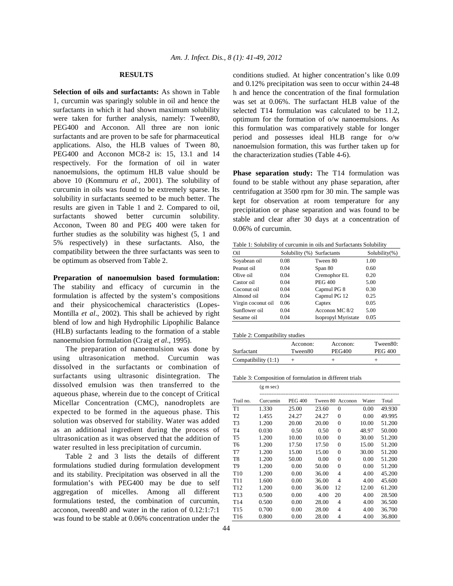## **RESULTS**

**Selection of oils and surfactants:** As shown in Table 1, curcumin was sparingly soluble in oil and hence the surfactants in which it had shown maximum solubility were taken for further analysis, namely: Tween80, PEG400 and Acconon. All three are non ionic surfactants and are proven to be safe for pharmaceutical applications. Also, the HLB values of Tween 80, PEG400 and Acconon MC8-2 is: 15, 13.1 and 14 respectively. For the formation of oil in water nanoemulsions, the optimum HLB value should be above 10 (Kommuru *et al*., 2001). The solubility of curcumin in oils was found to be extremely sparse. Its solubility in surfactants seemed to be much better. The results are given in Table 1 and 2. Compared to oil, surfactants showed better curcumin solubility. Acconon, Tween 80 and PEG 400 were taken for further studies as the solubility was highest (5, 1 and 5% respectively) in these surfactants. Also, the compatibility between the three surfactants was seen to be optimum as observed from Table 2.

**Preparation of nanoemulsion based formulation:**  The stability and efficacy of curcumin in the formulation is affected by the system's compositions and their physicochemical characteristics (Lopes-Montilla *et al*., 2002). This shall be achieved by right blend of low and high Hydrophilic Lipophilic Balance (HLB) surfactants leading to the formation of a stable nanoemulsion formulation (Craig *et al*., 1995).

 The preparation of nanoemulsion was done by using ultrasonication method. Curcumin was dissolved in the surfactants or combination of surfactants using ultrasonic disintegration. The dissolved emulsion was then transferred to the aqueous phase, wherein due to the concept of Critical Micellar Concentration (CMC), nanodroplets are expected to be formed in the aqueous phase. This solution was observed for stability. Water was added as an additional ingredient during the process of ultrasonication as it was observed that the addition of water resulted in less precipitation of curcumin.

 Table 2 and 3 lists the details of different formulations studied during formulation development and its stability. Precipitation was observed in all the formulation's with PEG400 may be due to self aggregation of micelles. Among all different formulations tested, the combination of curcumin, acconon, tween80 and water in the ration of 0.12:1:7:1 was found to be stable at 0.06% concentration under the

conditions studied. At higher concentration's like 0.09 and 0.12% precipitation was seen to occur within 24-48 h and hence the concentration of the final formulation was set at 0.06%. The surfactant HLB value of the selected T14 formulation was calculated to be 11.2, optimum for the formation of o/w nanoemulsions. As this formulation was comparatively stable for longer period and possesses ideal HLB range for o/w nanoemulsion formation, this was further taken up for the characterization studies (Table 4-6).

**Phase separation study:** The T14 formulation was found to be stable without any phase separation, after centrifugation at 3500 rpm for 30 min. The sample was kept for observation at room temperature for any precipitation or phase separation and was found to be stable and clear after 30 days at a concentration of 0.06% of curcumin.

Table 1: Solubility of curcumin in oils and Surfactants Solubility

| Oil.               | Solubility (%) Surfactants |                     | Solubility(%) |
|--------------------|----------------------------|---------------------|---------------|
| Soyabean oil       | 0.08                       | Tween 80            | 1.00          |
| Peanut oil         | 0.04                       | Span 80             | 0.60          |
| Olive oil          | 0.04                       | Cremophor EL        | 0.20          |
| Castor oil         | 0.04                       | <b>PEG 400</b>      | 5.00          |
| Coconut oil        | 0.04                       | Capmul PG 8         | 0.30          |
| Almond oil         | 0.04                       | Capmul PG 12        | 0.25          |
| Virgin coconut oil | 0.06                       | Captex              | 0.05          |
| Sunflower oil      | 0.04                       | Acconon MC 8/2      | 5.00          |
| Sesame oil         | 0.04                       | Isopropyl Myristate | 0.05          |

|  | Table 2: Compatibility studies |  |
|--|--------------------------------|--|
|  |                                |  |

| Surfactant          | Acconon: | Acconon:      | Tween80:       |
|---------------------|----------|---------------|----------------|
|                     | Tween80  | <b>PEG400</b> | <b>PEG 400</b> |
| Compatibility (1:1) |          |               |                |

Table 3: Composition of formulation in different trials

|                 | $(g \text{ m sec})$ |                |       |                  |       |        |
|-----------------|---------------------|----------------|-------|------------------|-------|--------|
| Trail no.       | Curcumin            | <b>PEG 400</b> |       | Tween 80 Acconon | Water | Total  |
| T1              | 1.330               | 25.00          | 23.60 | 0                | 0.00  | 49.930 |
| T <sub>2</sub>  | 1.455               | 24.27          | 24.27 | $\theta$         | 0.00  | 49.995 |
| T3              | 1.200               | 20.00          | 20.00 | 0                | 10.00 | 51.200 |
| T <sub>4</sub>  | 0.030               | 0.50           | 0.50  | $\overline{0}$   | 48.97 | 50.000 |
| T5              | 1.200               | 10.00          | 10.00 | 0                | 30.00 | 51.200 |
| T <sub>6</sub>  | 1.200               | 17.50          | 17.50 | $\overline{0}$   | 15.00 | 51.200 |
| T <sub>7</sub>  | 1.200               | 15.00          | 15.00 | $\overline{0}$   | 30.00 | 51.200 |
| T <sub>8</sub>  | 1.200               | 50.00          | 0.00  | $\overline{0}$   | 0.00  | 51.200 |
| T <sub>9</sub>  | 1.200               | 0.00           | 50.00 | $\theta$         | 0.00  | 51.200 |
| T <sub>10</sub> | 1.200               | 0.00           | 36.00 | 4                | 4.00  | 45.200 |
| T <sub>11</sub> | 1.600               | 0.00           | 36.00 | 4                | 4.00  | 45.600 |
| T <sub>12</sub> | 1.200               | 0.00           | 36.00 | 12               | 12.00 | 61.200 |
| T <sub>13</sub> | 0.500               | 0.00           | 4.00  | 20               | 4.00  | 28.500 |
| T <sub>14</sub> | 0.500               | 0.00           | 28.00 | 4                | 4.00  | 36.500 |
| T <sub>15</sub> | 0.700               | 0.00           | 28.00 | 4                | 4.00  | 36.700 |
| T16             | 0.800               | 0.00           | 28.00 | 4                | 4.00  | 36.800 |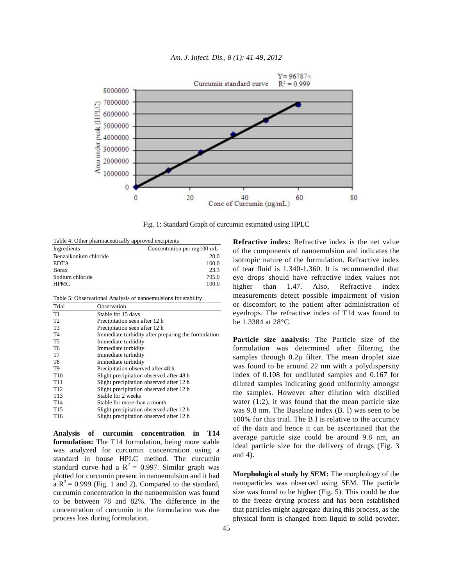

*Am. J. Infect. Dis., 8 (1): 41-49, 2012* 

Fig. 1: Standard Graph of curcumin estimated using HPLC

Table 4: Other pharmaceutically approved excipients

| Ingredients<br>Concentration per mg100 mL |       |
|-------------------------------------------|-------|
| Benzalkonium chloride                     | 20.0  |
| <b>EDTA</b>                               | 100.0 |
| <b>B</b> orax                             | 23.3  |
| Sodium chloride                           | 795.0 |
| <b>HPMC</b>                               | 100.0 |

Table 5: Observational Analysis of nanoemulsions for stability

| Trial           | Observation                                         |
|-----------------|-----------------------------------------------------|
| T1              | Stable for 15 days                                  |
| T <sub>2</sub>  | Precipitation seen after 12 h                       |
| T <sub>3</sub>  | Precipitation seen after 12 h                       |
| T <sub>4</sub>  | Immediate turbidity after preparing the formulation |
| T <sub>5</sub>  | Immediate turbidity                                 |
| T <sub>6</sub>  | Immediate turbidity                                 |
| T7              | Immediate turbidity                                 |
| T <sub>8</sub>  | Immediate turbidity                                 |
| T <sub>9</sub>  | Precipitation observed after 48 h                   |
| T <sub>10</sub> | Slight precipitation observed after 48 h            |
| T <sub>11</sub> | Slight precipitation observed after 12 h            |
| T <sub>12</sub> | Slight precipitation observed after 12 h            |
| T <sub>13</sub> | Stable for 2 weeks                                  |
| T14             | Stable for more than a month                        |
| T <sub>15</sub> | Slight precipitation observed after 12 h            |
| T <sub>16</sub> | Slight precipitation observed after 12 h            |

**Analysis of curcumin concentration in T14 formulation:** The T14 formulation, being more stable was analyzed for curcumin concentration using a standard in house HPLC method. The curcumin standard curve had a  $R^2 = 0.997$ . Similar graph was plotted for curcumin present in nanoemulsion and it had a  $R^2$  = 0.999 (Fig. 1 and 2). Compared to the standard, curcumin concentration in the nanoemulsion was found to be between 78 and 82%. The difference in the concentration of curcumin in the formulation was due process loss during formulation.

**Refractive index:** Refractive index is the net value of the components of nanoemulsion and indicates the isotropic nature of the formulation. Refractive index of tear fluid is 1.340-1.360. It is recommended that eye drops should have refractive index values not higher than 1.47. Also, Refractive index measurements detect possible impairment of vision or discomfort to the patient after administration of eyedrops. The refractive index of T14 was found to be 1.3384 at 28°C.

**Particle size analysis:** The Particle size of the formulation was determined after filtering the samples through 0.2µ filter. The mean droplet size was found to be around 22 nm with a polydispersity index of 0.108 for undiluted samples and 0.167 for diluted samples indicating good uniformity amongst the samples. However after dilution with distilled water (1:2), it was found that the mean particle size was 9.8 nm. The Baseline index (B. I) was seen to be 100% for this trial. The B.I is relative to the accuracy of the data and hence it can be ascertained that the average particle size could be around 9.8 nm, an ideal particle size for the delivery of drugs (Fig. 3 and 4).

**Morphological study by SEM:** The morphology of the nanoparticles was observed using SEM. The particle size was found to be higher (Fig. 5). This could be due to the freeze drying process and has been established that particles might aggregate during this process, as the physical form is changed from liquid to solid powder.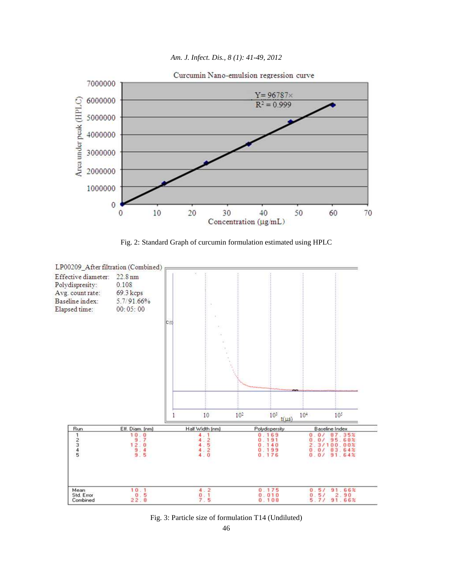



Fig. 2: Standard Graph of curcumin formulation estimated using HPLC



Fig. 3: Particle size of formulation T14 (Undiluted)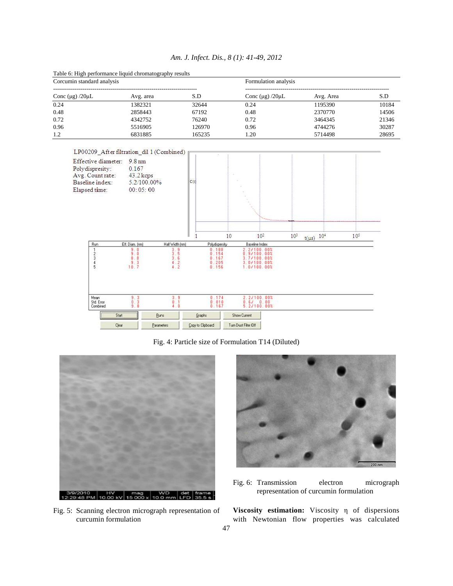| Corcumin standard analysis  |           |        | Formulation analysis   |           |       |  |
|-----------------------------|-----------|--------|------------------------|-----------|-------|--|
| Conc ( $\mu$ g) /20 $\mu$ L | Avg. area | S.D    | Conc $(\mu g)/20\mu L$ | Avg. Area | S.D   |  |
| 0.24                        | 1382321   | 32644  | 0.24                   | 1195390   | 10184 |  |
| 0.48                        | 2858443   | 67192  | 0.48                   | 2370770   | 14506 |  |
| 0.72                        | 4342752   | 76240  | 0.72                   | 3464345   | 21346 |  |
| 0.96                        | 5516905   | 126970 | 0.96                   | 4744276   | 30287 |  |
| 1.2                         | 6831885   | 165235 | 1.20                   | 5714498   | 28695 |  |

*Am. J. Infect. Dis., 8 (1): 41-49, 2012* 

Table 6: High performance liquid chromatography results



Fig. 4: Particle size of Formulation T14 (Diluted)



Fig. 5: Scanning electron micrograph representation of curcumin formulation



Fig. 6: Transmission electron micrograph representation of curcumin formulation

**Viscosity estimation:** Viscosity η of dispersions with Newtonian flow properties was calculated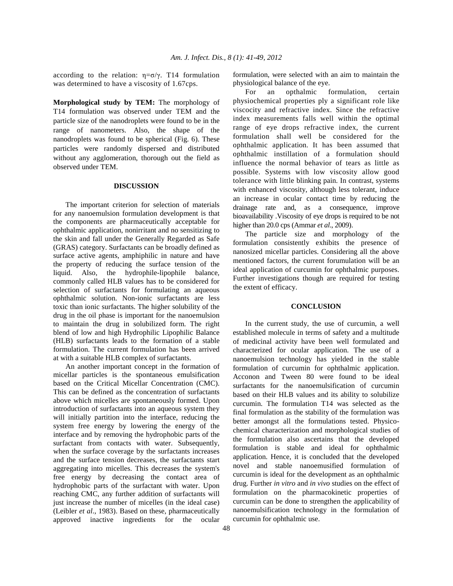according to the relation:  $η = σ/γ$ . T14 formulation was determined to have a viscosity of 1.67cps.

**Morphological study by TEM:** The morphology of T14 formulation was observed under TEM and the particle size of the nanodroplets were found to be in the range of nanometers. Also, the shape of the nanodroplets was found to be spherical (Fig. 6). These particles were randomly dispersed and distributed without any agglomeration, thorough out the field as observed under TEM.

## **DISCUSSION**

 The important criterion for selection of materials for any nanoemulsion formulation development is that the components are pharmaceutically acceptable for ophthalmic application, nonirritant and no sensitizing to the skin and fall under the Generally Regarded as Safe (GRAS) category. Surfactants can be broadly defined as surface active agents, amphiphilic in nature and have the property of reducing the surface tension of the liquid. Also, the hydrophile-lipophile balance, commonly called HLB values has to be considered for selection of surfactants for formulating an aqueous ophthalmic solution. Non-ionic surfactants are less toxic than ionic surfactants. The higher solubility of the drug in the oil phase is important for the nanoemulsion to maintain the drug in solubilized form. The right blend of low and high Hydrophilic Lipophilic Balance (HLB) surfactants leads to the formation of a stable formulation. The current formulation has been arrived at with a suitable HLB complex of surfactants.

 An another important concept in the formation of micellar particles is the spontaneous emulsification based on the Critical Micellar Concentration (CMC). This can be defined as the concentration of surfactants above which micelles are spontaneously formed. Upon introduction of surfactants into an aqueous system they will initially partition into the interface, reducing the system free energy by lowering the energy of the interface and by removing the hydrophobic parts of the surfactant from contacts with water. Subsequently, when the surface coverage by the surfactants increases and the surface tension decreases, the surfactants start aggregating into micelles. This decreases the system's free energy by decreasing the contact area of hydrophobic parts of the surfactant with water. Upon reaching CMC, any further addition of surfactants will just increase the number of micelles (in the ideal case) (Leibler *et al*., 1983). Based on these, pharmaceutically approved inactive ingredients for the ocular

formulation, were selected with an aim to maintain the physiological balance of the eye.

 For an opthalmic formulation, certain physiochemical properties ply a significant role like viscocity and refractive index. Since the refractive index measurements falls well within the optimal range of eye drops refractive index, the current formulation shall well be considered for the ophthalmic application. It has been assumed that ophthalmic instillation of a formulation should influence the normal behavior of tears as little as possible. Systems with low viscosity allow good tolerance with little blinking pain. In contrast, systems with enhanced viscosity, although less tolerant, induce an increase in ocular contact time by reducing the drainage rate and, as a consequence, improve bioavailability .Viscosity of eye drops is required to be not higher than 20.0 cps (Ammar *et al*., 2009).

 The particle size and morphology of the formulation consistently exhibits the presence of nanosized micellar particles. Considering all the above mentioned factors, the current forumulation will be an ideal application of curcumin for ophthalmic purposes. Further investigations though are required for testing the extent of efficacy.

## **CONCLUSION**

 In the current study, the use of curcumin, a well established molecule in terms of safety and a multitude of medicinal activity have been well formulated and characterized for ocular application. The use of a nanoemulsion technology has yielded in the stable formulation of curcumin for ophthalmic application. Acconon and Tween 80 were found to be ideal surfactants for the nanoemulsification of curcumin based on their HLB values and its ability to solubilize curcumin. The formulation T14 was selected as the final formulation as the stability of the formulation was better amongst all the formulations tested. Physicochemical characterization and morphological studies of the formulation also ascertains that the developed formulation is stable and ideal for ophthalmic application. Hence, it is concluded that the developed novel and stable nanoemusified formulation of curcumin is ideal for the development as an ophthalmic drug. Further *in vitro* and *in vivo* studies on the effect of formulation on the pharmacokinetic properties of curcumin can be done to strengthen the applicability of nanoemulsification technology in the formulation of curcumin for ophthalmic use.